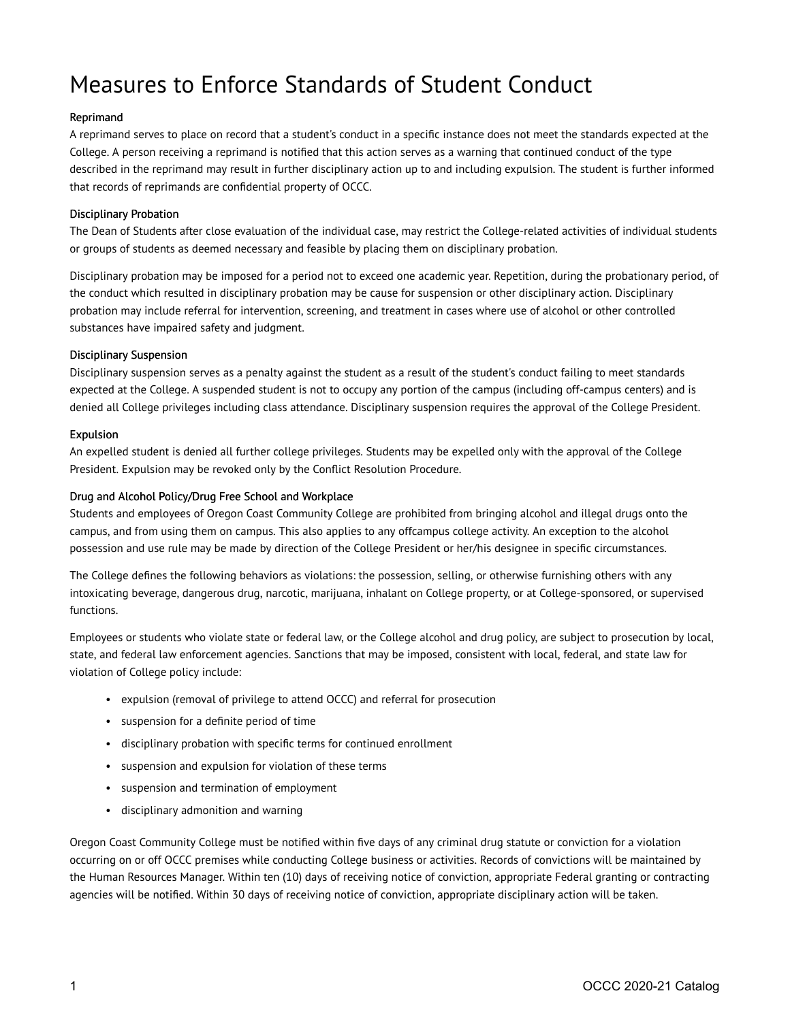# Measures to Enforce Standards of Student Conduct

#### Reprimand

A reprimand serves to place on record that a student's conduct in a specific instance does not meet the standards expected at the College. A person receiving a reprimand is notified that this action serves as a warning that continued conduct of the type described in the reprimand may result in further disciplinary action up to and including expulsion. The student is further informed that records of reprimands are confidential property of OCCC.

#### Disciplinary Probation

The Dean of Students after close evaluation of the individual case, may restrict the College-related activities of individual students or groups of students as deemed necessary and feasible by placing them on disciplinary probation.

Disciplinary probation may be imposed for a period not to exceed one academic year. Repetition, during the probationary period, of the conduct which resulted in disciplinary probation may be cause for suspension or other disciplinary action. Disciplinary probation may include referral for intervention, screening, and treatment in cases where use of alcohol or other controlled substances have impaired safety and judgment.

#### Disciplinary Suspension

Disciplinary suspension serves as a penalty against the student as a result of the student's conduct failing to meet standards expected at the College. A suspended student is not to occupy any portion of the campus (including off-campus centers) and is denied all College privileges including class attendance. Disciplinary suspension requires the approval of the College President.

### Expulsion

An expelled student is denied all further college privileges. Students may be expelled only with the approval of the College President. Expulsion may be revoked only by the Conflict Resolution Procedure.

### Drug and Alcohol Policy/Drug Free School and Workplace

Students and employees of Oregon Coast Community College are prohibited from bringing alcohol and illegal drugs onto the campus, and from using them on campus. This also applies to any offcampus college activity. An exception to the alcohol possession and use rule may be made by direction of the College President or her/his designee in specific circumstances.

The College defines the following behaviors as violations: the possession, selling, or otherwise furnishing others with any intoxicating beverage, dangerous drug, narcotic, marijuana, inhalant on College property, or at College-sponsored, or supervised functions.

Employees or students who violate state or federal law, or the College alcohol and drug policy, are subject to prosecution by local, state, and federal law enforcement agencies. Sanctions that may be imposed, consistent with local, federal, and state law for violation of College policy include:

- expulsion (removal of privilege to attend OCCC) and referral for prosecution
- suspension for a definite period of time
- disciplinary probation with specific terms for continued enrollment
- suspension and expulsion for violation of these terms
- suspension and termination of employment
- disciplinary admonition and warning

Oregon Coast Community College must be notified within five days of any criminal drug statute or conviction for a violation occurring on or off OCCC premises while conducting College business or activities. Records of convictions will be maintained by the Human Resources Manager. Within ten (10) days of receiving notice of conviction, appropriate Federal granting or contracting agencies will be notified. Within 30 days of receiving notice of conviction, appropriate disciplinary action will be taken.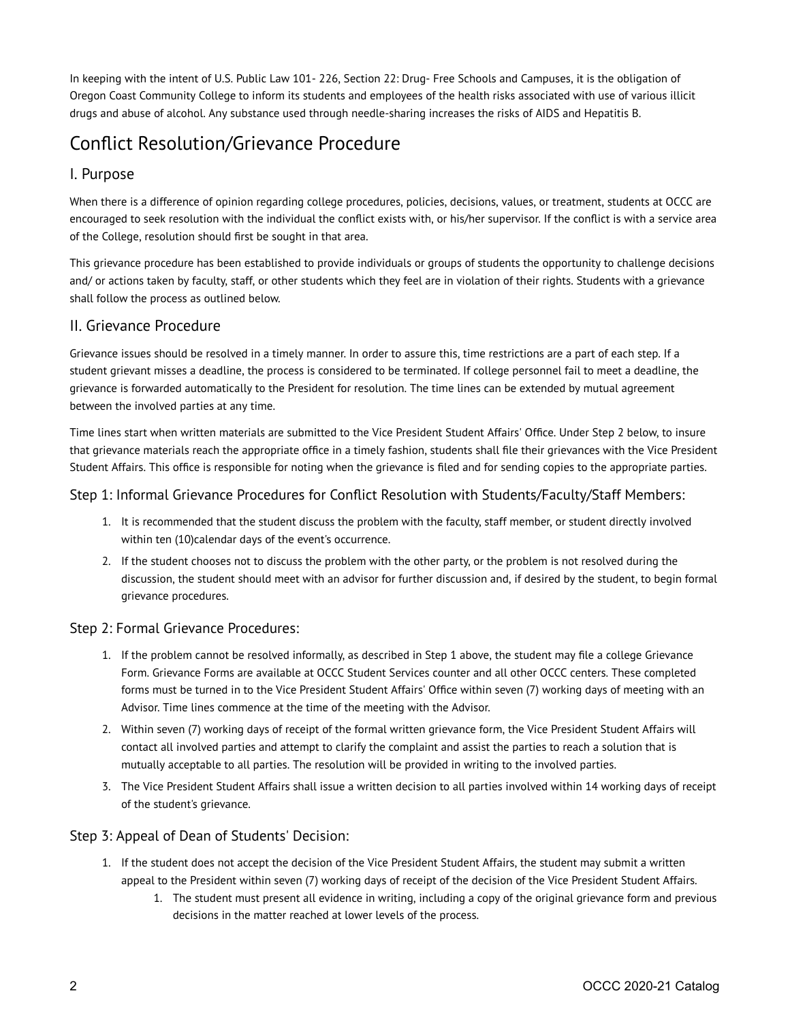In keeping with the intent of U.S. Public Law 101- 226, Section 22: Drug- Free Schools and Campuses, it is the obligation of Oregon Coast Community College to inform its students and employees of the health risks associated with use of various illicit drugs and abuse of alcohol. Any substance used through needle-sharing increases the risks of AIDS and Hepatitis B.

## Conflict Resolution/Grievance Procedure

### I. Purpose

When there is a difference of opinion regarding college procedures, policies, decisions, values, or treatment, students at OCCC are encouraged to seek resolution with the individual the conflict exists with, or his/her supervisor. If the conflict is with a service area of the College, resolution should first be sought in that area.

This grievance procedure has been established to provide individuals or groups of students the opportunity to challenge decisions and/ or actions taken by faculty, staff, or other students which they feel are in violation of their rights. Students with a grievance shall follow the process as outlined below.

### II. Grievance Procedure

Grievance issues should be resolved in a timely manner. In order to assure this, time restrictions are a part of each step. If a student grievant misses a deadline, the process is considered to be terminated. If college personnel fail to meet a deadline, the grievance is forwarded automatically to the President for resolution. The time lines can be extended by mutual agreement between the involved parties at any time.

Time lines start when written materials are submitted to the Vice President Student Affairs' Office. Under Step 2 below, to insure that grievance materials reach the appropriate office in a timely fashion, students shall file their grievances with the Vice President Student Affairs. This office is responsible for noting when the grievance is filed and for sending copies to the appropriate parties.

### Step 1: Informal Grievance Procedures for Conflict Resolution with Students/Faculty/Staff Members:

- 1. It is recommended that the student discuss the problem with the faculty, staff member, or student directly involved within ten (10)calendar days of the event's occurrence.
- 2. If the student chooses not to discuss the problem with the other party, or the problem is not resolved during the discussion, the student should meet with an advisor for further discussion and, if desired by the student, to begin formal grievance procedures.

### Step 2: Formal Grievance Procedures:

- 1. If the problem cannot be resolved informally, as described in Step 1 above, the student may file a college Grievance Form. Grievance Forms are available at OCCC Student Services counter and all other OCCC centers. These completed forms must be turned in to the Vice President Student Affairs' Office within seven (7) working days of meeting with an Advisor. Time lines commence at the time of the meeting with the Advisor.
- 2. Within seven (7) working days of receipt of the formal written grievance form, the Vice President Student Affairs will contact all involved parties and attempt to clarify the complaint and assist the parties to reach a solution that is mutually acceptable to all parties. The resolution will be provided in writing to the involved parties.
- 3. The Vice President Student Affairs shall issue a written decision to all parties involved within 14 working days of receipt of the student's grievance.

### Step 3: Appeal of Dean of Students' Decision:

- 1. If the student does not accept the decision of the Vice President Student Affairs, the student may submit a written appeal to the President within seven (7) working days of receipt of the decision of the Vice President Student Affairs.
	- 1. The student must present all evidence in writing, including a copy of the original grievance form and previous decisions in the matter reached at lower levels of the process.